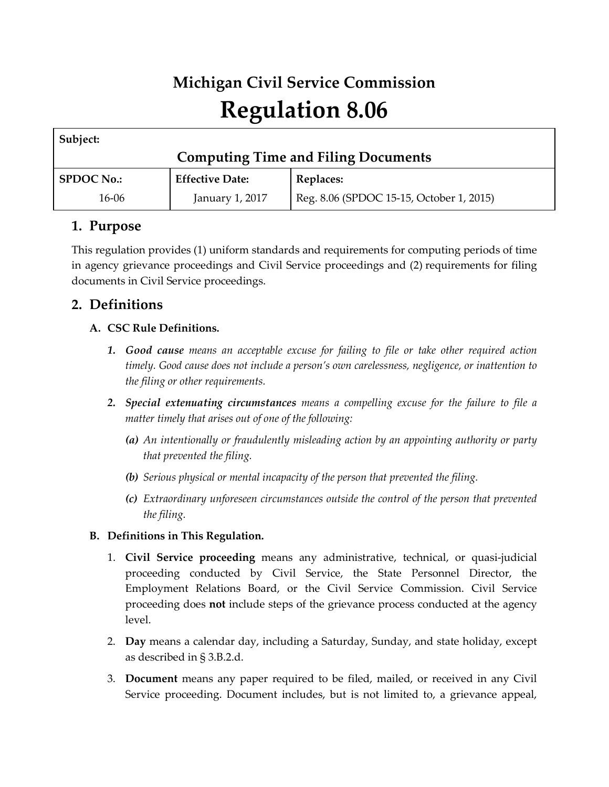# **Michigan Civil Service Commission Regulation 8.06**

| Subject:                                   |                        |                                          |  |  |  |  |
|--------------------------------------------|------------------------|------------------------------------------|--|--|--|--|
| <b>Computing Time and Filing Documents</b> |                        |                                          |  |  |  |  |
| <b>SPDOC No.:</b>                          | <b>Effective Date:</b> | Replaces:                                |  |  |  |  |
| 16-06                                      | January 1, 2017        | Reg. 8.06 (SPDOC 15-15, October 1, 2015) |  |  |  |  |

## **1. Purpose**

This regulation provides (1) uniform standards and requirements for computing periods of time in agency grievance proceedings and Civil Service proceedings and (2) requirements for filing documents in Civil Service proceedings.

# **2. Definitions**

## **A. CSC Rule Definitions.**

- *1. Good cause means an acceptable excuse for failing to file or take other required action timely. Good cause does not include a person's own carelessness, negligence, or inattention to the filing or other requirements.*
- *2. Special extenuating circumstances means a compelling excuse for the failure to file a matter timely that arises out of one of the following:*
	- *(a) An intentionally or fraudulently misleading action by an appointing authority or party that prevented the filing.*
	- *(b) Serious physical or mental incapacity of the person that prevented the filing.*
	- *(c) Extraordinary unforeseen circumstances outside the control of the person that prevented the filing.*

## **B. Definitions in This Regulation.**

- 1. **Civil Service proceeding** means any administrative, technical, or quasi-judicial proceeding conducted by Civil Service, the State Personnel Director, the Employment Relations Board, or the Civil Service Commission. Civil Service proceeding does **not** include steps of the grievance process conducted at the agency level.
- 2. **Day** means a calendar day, including a Saturday, Sunday, and state holiday, except as described in § 3.B.2.d.
- 3. **Document** means any paper required to be filed, mailed, or received in any Civil Service proceeding. Document includes, but is not limited to, a grievance appeal,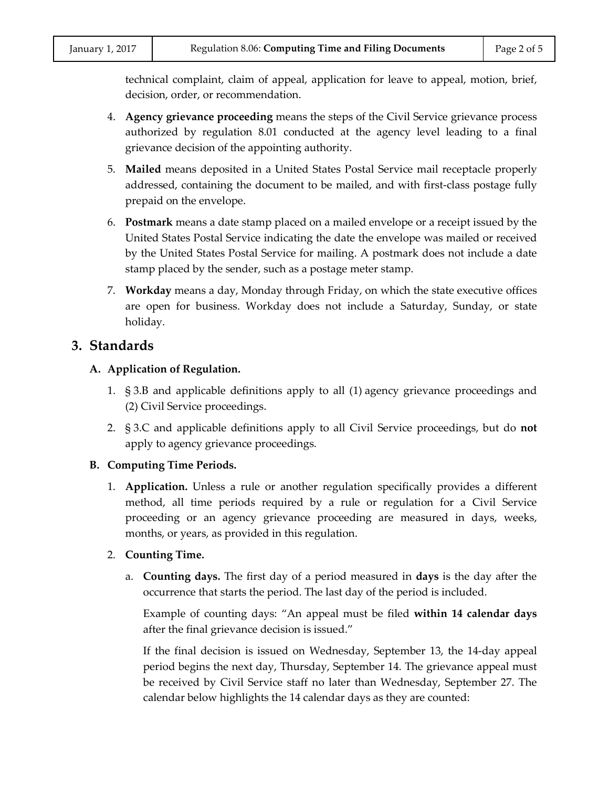technical complaint, claim of appeal, application for leave to appeal, motion, brief, decision, order, or recommendation.

- 4. **Agency grievance proceeding** means the steps of the Civil Service grievance process authorized by regulation 8.01 conducted at the agency level leading to a final grievance decision of the appointing authority.
- 5. **Mailed** means deposited in a United States Postal Service mail receptacle properly addressed, containing the document to be mailed, and with first-class postage fully prepaid on the envelope.
- 6. **Postmark** means a date stamp placed on a mailed envelope or a receipt issued by the United States Postal Service indicating the date the envelope was mailed or received by the United States Postal Service for mailing. A postmark does not include a date stamp placed by the sender, such as a postage meter stamp.
- 7. **Workday** means a day, Monday through Friday, on which the state executive offices are open for business. Workday does not include a Saturday, Sunday, or state holiday.

#### **3. Standards**

#### **A. Application of Regulation.**

- 1. § 3.B and applicable definitions apply to all (1) agency grievance proceedings and (2) Civil Service proceedings.
- 2. § 3.C and applicable definitions apply to all Civil Service proceedings, but do **not** apply to agency grievance proceedings.

#### **B. Computing Time Periods.**

1. **Application.** Unless a rule or another regulation specifically provides a different method, all time periods required by a rule or regulation for a Civil Service proceeding or an agency grievance proceeding are measured in days, weeks, months, or years, as provided in this regulation.

#### 2. **Counting Time.**

a. **Counting days.** The first day of a period measured in **days** is the day after the occurrence that starts the period. The last day of the period is included.

Example of counting days: "An appeal must be filed **within 14 calendar days** after the final grievance decision is issued."

If the final decision is issued on Wednesday, September 13, the 14-day appeal period begins the next day, Thursday, September 14. The grievance appeal must be received by Civil Service staff no later than Wednesday, September 27. The calendar below highlights the 14 calendar days as they are counted: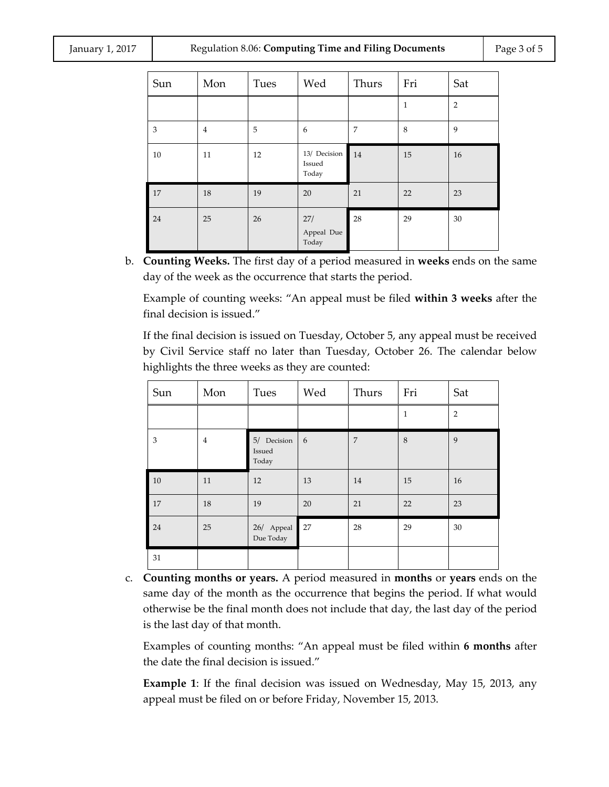| Sun | Mon            | Tues | Wed                             | Thurs          | Fri            | Sat            |
|-----|----------------|------|---------------------------------|----------------|----------------|----------------|
|     |                |      |                                 |                | $\overline{1}$ | $\overline{2}$ |
| 3   | $\overline{4}$ | 5    | 6                               | $\overline{7}$ | 8              | 9              |
| 10  | 11             | 12   | 13/ Decision<br>Issued<br>Today | 14             | 15             | 16             |
| 17  | 18             | 19   | 20                              | 21             | 22             | 23             |
| 24  | 25             | 26   | 27/<br>Appeal Due<br>Today      | 28             | 29             | 30             |

b. **Counting Weeks.** The first day of a period measured in **weeks** ends on the same day of the week as the occurrence that starts the period.

Example of counting weeks: "An appeal must be filed **within 3 weeks** after the final decision is issued."

If the final decision is issued on Tuesday, October 5, any appeal must be received by Civil Service staff no later than Tuesday, October 26. The calendar below highlights the three weeks as they are counted:

| Sun            | Mon            | Tues                           | Wed | Thurs          | Fri          | Sat            |
|----------------|----------------|--------------------------------|-----|----------------|--------------|----------------|
|                |                |                                |     |                | $\mathbf{1}$ | $\overline{2}$ |
| $\mathfrak{Z}$ | $\overline{4}$ | 5/ Decision<br>Issued<br>Today | 6   | $\overline{7}$ | 8            | 9              |
| 10             | 11             | 12                             | 13  | 14             | 15           | 16             |
| 17             | 18             | 19                             | 20  | 21             | 22           | 23             |
| 24             | 25             | 26/ Appeal<br>Due Today        | 27  | 28             | 29           | 30             |
| 31             |                |                                |     |                |              |                |

c. **Counting months or years.** A period measured in **months** or **years** ends on the same day of the month as the occurrence that begins the period. If what would otherwise be the final month does not include that day, the last day of the period is the last day of that month.

Examples of counting months: "An appeal must be filed within **6 months** after the date the final decision is issued."

**Example 1**: If the final decision was issued on Wednesday, May 15, 2013, any appeal must be filed on or before Friday, November 15, 2013.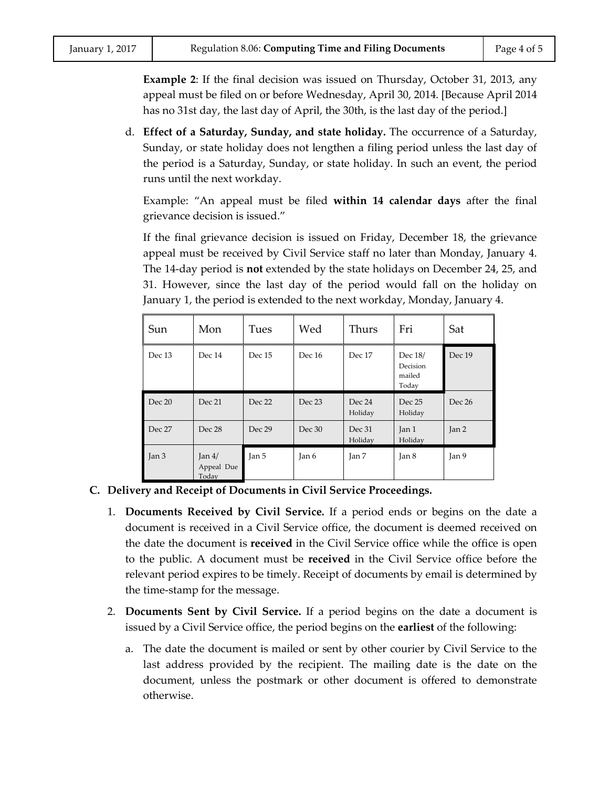**Example 2**: If the final decision was issued on Thursday, October 31, 2013, any appeal must be filed on or before Wednesday, April 30, 2014. [Because April 2014 has no 31st day, the last day of April, the 30th, is the last day of the period.]

d. **Effect of a Saturday, Sunday, and state holiday.** The occurrence of a Saturday, Sunday, or state holiday does not lengthen a filing period unless the last day of the period is a Saturday, Sunday, or state holiday. In such an event, the period runs until the next workday.

Example: "An appeal must be filed **within 14 calendar days** after the final grievance decision is issued."

If the final grievance decision is issued on Friday, December 18, the grievance appeal must be received by Civil Service staff no later than Monday, January 4. The 14-day period is **not** extended by the state holidays on December 24, 25, and 31. However, since the last day of the period would fall on the holiday on January 1, the period is extended to the next workday, Monday, January 4.

| Sun    | Mon                              | Tues   | Wed    | Thurs             | Fri                                    | Sat    |
|--------|----------------------------------|--------|--------|-------------------|----------------------------------------|--------|
| Dec 13 | Dec 14                           | Dec 15 | Dec 16 | Dec 17            | Dec 18/<br>Decision<br>mailed<br>Today | Dec 19 |
| Dec 20 | Dec 21                           | Dec 22 | Dec 23 | Dec 24<br>Holiday | Dec 25<br>Holiday                      | Dec 26 |
| Dec 27 | Dec 28                           | Dec 29 | Dec 30 | Dec 31<br>Holiday | Jan 1<br>Holiday                       | Jan 2  |
| Jan 3  | $\tan 4/$<br>Appeal Due<br>Today | Jan 5  | Jan 6  | Jan 7             | Jan <sub>8</sub>                       | Jan 9  |

#### **C. Delivery and Receipt of Documents in Civil Service Proceedings.**

- 1. **Documents Received by Civil Service.** If a period ends or begins on the date a document is received in a Civil Service office, the document is deemed received on the date the document is **received** in the Civil Service office while the office is open to the public. A document must be **received** in the Civil Service office before the relevant period expires to be timely. Receipt of documents by email is determined by the time-stamp for the message.
- 2. **Documents Sent by Civil Service.** If a period begins on the date a document is issued by a Civil Service office, the period begins on the **earliest** of the following:
	- a. The date the document is mailed or sent by other courier by Civil Service to the last address provided by the recipient. The mailing date is the date on the document, unless the postmark or other document is offered to demonstrate otherwise.